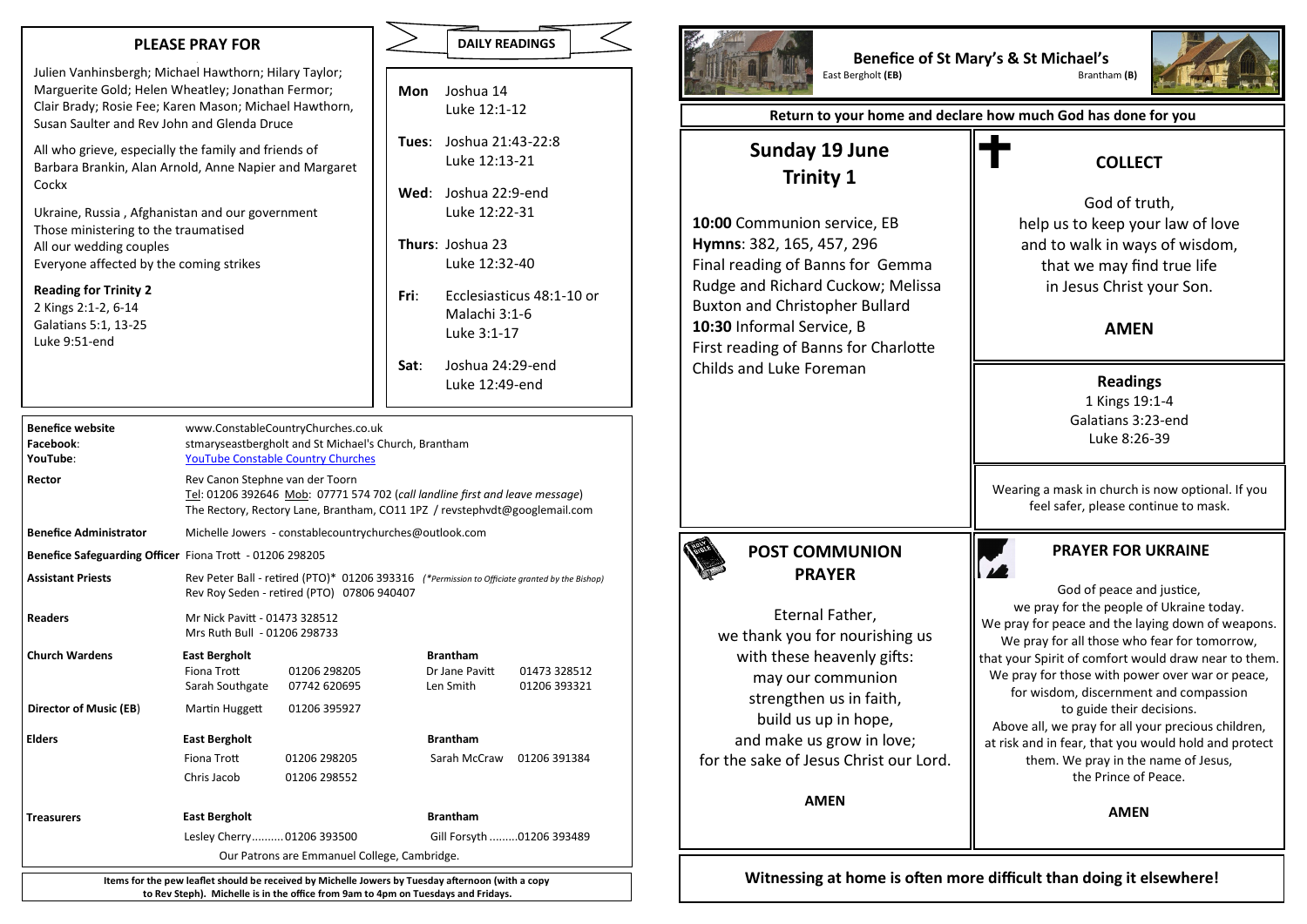#### **PLEASE PRAY FOR**

**JJ** Julien Vanhinsbergh; Michael Hawthorn; Hilary Taylor; Marguerite Gold; Helen Wheatley; Jonathan Fermor; Clair Brady; Rosie Fee; Karen Mason; Michael Hawthorn, Susan Saulter and Rev John and Glenda Druce

All who grieve, especially the family and friends of Barbara Brankin, Alan Arnold, Anne Napier and Margaret Cockx

Ukraine, Russia , Afghanistan and our government Those ministering to the traumatised All our wedding couples Everyone affected by the coming strikes

#### **Reading for Trinity 2**

2 Kings 2:1-2, 6-14 Galatians 5:1, 13-25 Luke 9:51-end

|      | <b>DAILY READINGS</b>          |  |
|------|--------------------------------|--|
|      |                                |  |
|      | <b>Mon</b> Joshua 14           |  |
|      | Luke 12:1-12                   |  |
|      | <b>Tues:</b> Joshua 21:43-22:8 |  |
|      | Luke 12:13-21                  |  |
|      | Wed: Joshua 22:9-end           |  |
|      | Luke 12:22-31                  |  |
|      | <b>Thurs: Joshua 23</b>        |  |
|      | Luke 12:32-40                  |  |
| Fri  | Ecclesiasticus 48:1-10 or      |  |
|      | Malachi 3:1-6                  |  |
|      | Luke 3:1-17                    |  |
| Sat: | Joshua 24:29-end               |  |
|      | Luke 12:49-end                 |  |

**Benefice website** www.ConstableCountryChurches.co.uk **Facebook**: stmaryseastbergholt and St Michael's Church, Brantham **YouTube**: [YouTube Constable Country Churches](https://www.youtube.com/channel/UCghKwq0JoGLeiLPfy_qk9gA/about) **Rector** Rev Canon Stephne van der Toorn Tel: 01206 392646 Mob: 07771 574 702 (*call landline first and leave message*) The Rectory, Rectory Lane, Brantham, CO11 1PZ / revstephvdt@googlemail.com **Benefice Administrator** Michelle Jowers - constablecountrychurches@outlook.com **Benefice Safeguarding Officer** Fiona Trott - 01206 298205 **Assistant Priests** Rev Peter Ball - retired (PTO)\* 01206 393316 *(\*Permission to Officiate granted by the Bishop)* Rev Roy Seden - retired (PTO) 07806 940407 **Readers** Mr Nick Pavitt - 01473 328512 Mrs Ruth Bull - 01206 298733 **Church Wardens East Bergholt Brantham** Fiona Trott 01206 298205 Dr Jane Pavitt 01473 328512 Sarah Southgate 07742 620695 Len Smith 01206 393321 **Director of Music (EB**) Martin Huggett 01206 395927 **Elders East Bergholt Brantham** Fiona Trott 01206 298205 Sarah McCraw 01206 391384 Chris Jacob 01206 298552 **Treasurers East Bergholt Brantham** Lesley Cherry..........01206 393500 Gill Forsyth .........01206 393489 Our Patrons are Emmanuel College, Cambridge. **Items for the pew leaflet should be received by Michelle Jowers by Tuesday afternoon (with a copy** 

**to Rev Steph). Michelle is in the office from 9am to 4pm on Tuesdays and Fridays.**



**Benefice of St Mary's & St Michael's East Bergholt (EB)** 



**Return to your home and declare how much God has done for you**

## **Sunday 19 June Trinity 1**

**10:00** Communion service, EB **Hymns**: 382, 165, 457, 296 Final reading of Banns for Gemma Rudge and Richard Cuckow; Melissa Buxton and Christopher Bullard **10:30** Informal Service, B First reading of Banns for Charlotte Childs and Luke Foreman

## **COLLECT**

God of truth, help us to keep your law of love and to walk in ways of wisdom, that we may find true life in Jesus Christ your Son.

### **AMEN**

**Readings** 1 Kings 19:1-4 Galatians 3:23-end Luke 8:26-39

Wearing a mask in church is now optional. If you feel safer, please continue to mask.

**POST COMMUNION PRAYER**

Eternal Father, we thank you for nourishing us with these heavenly gifts: may our communion strengthen us in faith, build us up in hope, and make us grow in love; for the sake of Jesus Christ our Lord.

**AMEN**

### **PRAYER FOR UKRAINE**

God of peace and justice, we pray for the people of Ukraine today. We pray for peace and the laying down of weapons. We pray for all those who fear for tomorrow, that your Spirit of comfort would draw near to them. We pray for those with power over war or peace, for wisdom, discernment and compassion to guide their decisions. Above all, we pray for all your precious children, at risk and in fear, that you would hold and protect them. We pray in the name of Jesus, the Prince of Peace.

**AMEN**

**Witnessing at home is often more difficult than doing it elsewhere!**